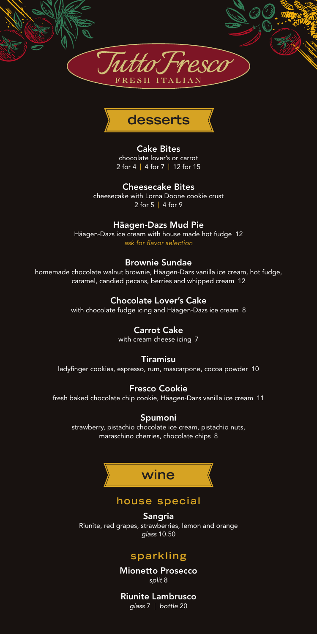



### Cake Bites

chocolate lover's or carrot 2 for 4 | 4 for 7 | 12 for 15

#### Cheesecake Bites

cheesecake with Lorna Doone cookie crust 2 for 5 | 4 for 9

### Häagen-Dazs Mud Pie

Häagen-Dazs ice cream with house made hot fudge 12 *ask for flavor selection*

#### Brownie Sundae

homemade chocolate walnut brownie, Häagen-Dazs vanilla ice cream, hot fudge, caramel, candied pecans, berries and whipped cream 12

## Chocolate Lover's Cake

with chocolate fudge icing and Häagen-Dazs ice cream 8

#### Carrot Cake

with cream cheese icing 7

#### Tiramisu

ladyfinger cookies, espresso, rum, mascarpone, cocoa powder 10

### Fresco Cookie

fresh baked chocolate chip cookie, Häagen-Dazs vanilla ice cream 11

### Spumoni

strawberry, pistachio chocolate ice cream, pistachio nuts, maraschino cherries, chocolate chips 8



## **house special**

Sangria Riunite, red grapes, strawberries, lemon and orange *glass* 10.50

## **sparkling**

Mionetto Prosecco *split* 8

Riunite Lambrusco *glass* 7 | *bottle* 20